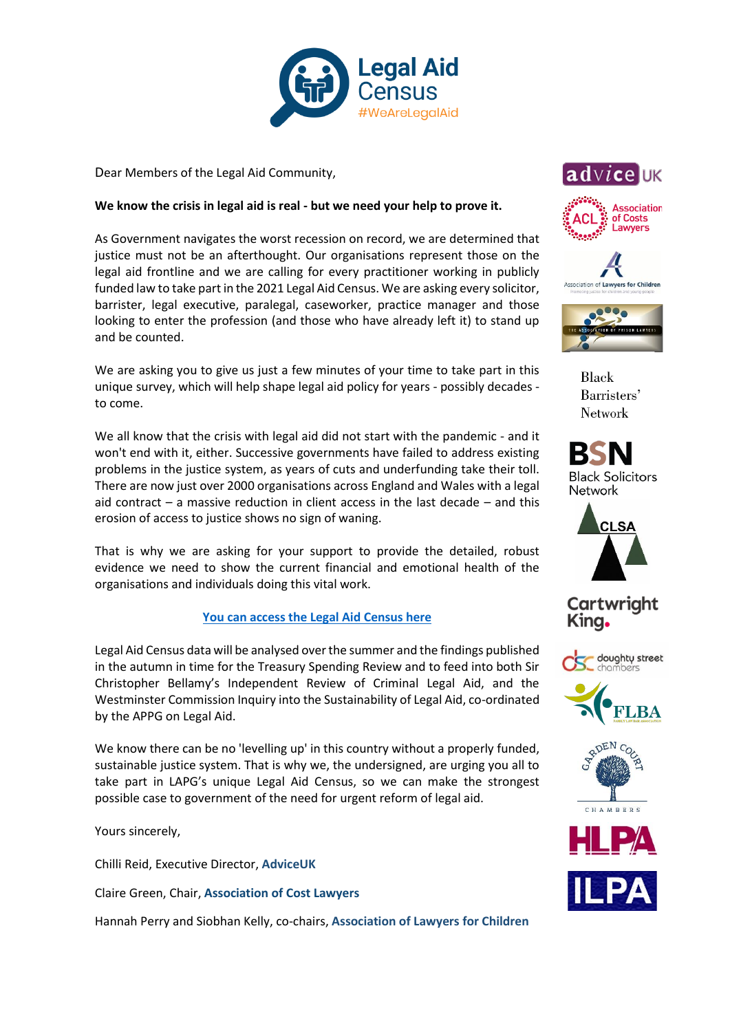

Dear Members of the Legal Aid Community,

## **We know the crisis in legal aid is real - but we need your help to prove it.**

As Government navigates the worst recession on record, we are determined that justice must not be an afterthought. Our organisations represent those on the legal aid frontline and we are calling for every practitioner working in publicly funded law to take part in the 2021 Legal Aid Census. We are asking every solicitor, barrister, legal executive, paralegal, caseworker, practice manager and those looking to enter the profession (and those who have already left it) to stand up and be counted.

We are asking you to give us just a few minutes of your time to take part in this unique survey, which will help shape legal aid policy for years - possibly decades to come.

We all know that the crisis with legal aid did not start with the pandemic - and it won't end with it, either. Successive governments have failed to address existing problems in the justice system, as years of cuts and underfunding take their toll. There are now just over 2000 organisations across England and Wales with a legal aid contract  $-$  a massive reduction in client access in the last decade  $-$  and this erosion of access to justice shows no sign of waning.

That is why we are asking for your support to provide the detailed, robust evidence we need to show the current financial and emotional health of the organisations and individuals doing this vital work.

## **[You can access the Legal Aid Census here](https://appg.onlinesurveys.ac.uk/legalaidcensus2021)**

Legal Aid Census data will be analysed over the summer and the findings published in the autumn in time for the Treasury Spending Review and to feed into both Sir Christopher Bellamy's Independent Review of Criminal Legal Aid, and the Westminster Commission Inquiry into the Sustainability of Legal Aid, co-ordinated by the APPG on Legal Aid.

We know there can be no 'levelling up' in this country without a properly funded, sustainable justice system. That is why we, the undersigned, are urging you all to take part in LAPG's unique Legal Aid Census, so we can make the strongest possible case to government of the need for urgent reform of legal aid.

Yours sincerely,

Chilli Reid, Executive Director, **AdviceUK**

Claire Green, Chair, **Association of Cost Lawyers**

Hannah Perry and Siobhan Kelly, co-chairs, **Association of Lawyers for Children**









Black Barristers' **Network** 





**Cartwright** King.







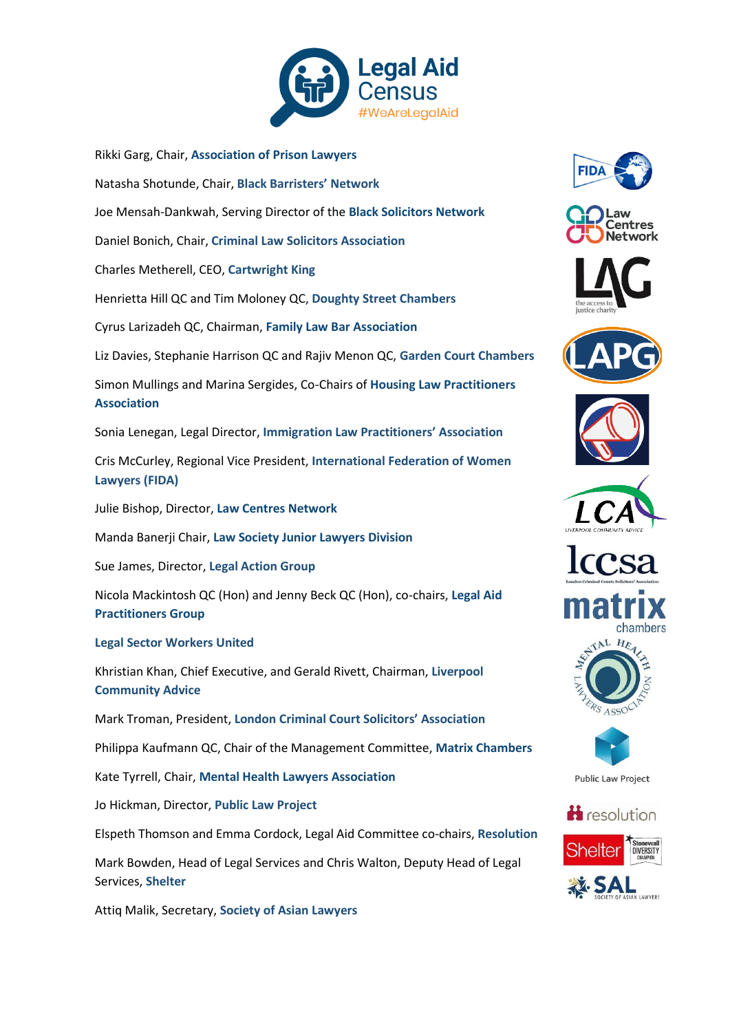

Rikki Garg, Chair, **Association of Prison Lawyers** Natasha Shotunde, Chair, **Black Barristers' Network** Joe Mensah-Dankwah, Serving Director of the **Black Solicitors Network** Daniel Bonich, Chair, **Criminal Law Solicitors Association** Charles Metherell, CEO, **Cartwright King** Henrietta Hill QC and Tim Moloney QC, **Doughty Street Chambers** Cyrus Larizadeh QC, Chairman, **Family Law Bar Association** Liz Davies, Stephanie Harrison QC and Rajiv Menon QC, **Garden Court Chambers** Simon Mullings and Marina Sergides, Co-Chairs of **Housing Law Practitioners Association** Sonia Lenegan, Legal Director, **Immigration Law Practitioners' Association** Cris McCurley, Regional Vice President, **International Federation of Women Lawyers (FIDA)** Julie Bishop, Director, **Law Centres Network** Manda Banerji Chair, **Law Society Junior Lawyers Division**  Sue James, Director, **Legal Action Group** Nicola Mackintosh QC (Hon) and Jenny Beck QC (Hon), co-chairs, **Legal Aid Practitioners Group Legal Sector Workers United** Khristian Khan, Chief Executive, and Gerald Rivett, Chairman, **Liverpool Community Advice** Mark Troman, President, **London Criminal Court Solicitors' Association** Philippa Kaufmann QC, Chair of the Management Committee, **Matrix Chambers** Kate Tyrrell, Chair, **Mental Health Lawyers Association** Jo Hickman, Director, **Public Law Project** Elspeth Thomson and Emma Cordock, Legal Aid Committee co-chairs, **Resolution**

Mark Bowden, Head of Legal Services and Chris Walton, Deputy Head of Legal Services, **Shelter**

Attiq Malik, Secretary, **Society of Asian Lawyers**

















**Public Law Project**